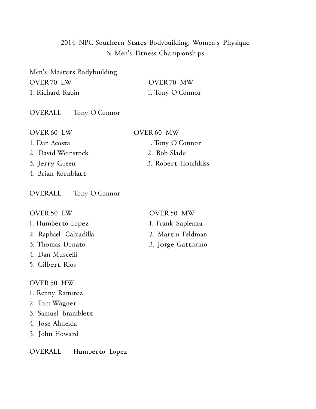# <sup>2014</sup> NPC Southern States Bodybuilding, Women's Physique & Men's Fitness Championships

Men's Masters Bodybuilding OVER 70 LW OVER 70 MW 1. Richard Rabin 1. Tony O'Connor

OVERALL Tony O'Connor

| <b>OVER 60 LW</b>  | OVER 60 MW          |
|--------------------|---------------------|
| 1. Dan Acosta      | 1. Tony O'Connor    |
| 2. David Weinstock | 2. Bob Slade        |
| 3. Jerry Green     | 3. Robert Hotchkiss |
| 4. Brian Kornblatt |                     |

OVERALL Tony O'Connor

OVER 50 LW

- 1. Humberto Lopez
- 2. Raphael Calzadilla
- 3. Thomas Donato
- 4. Dan Muscelli
- 5. Gilbert Rios

#### OVER 50 HW

- 1. Renny Ramirez
- 2. Tom Wagner
- 3. Samuel Bramblett
- 4. Jose Almeida
- 5. John Howard
- OVERALL Humberto Lopez

#### OVER 50 MW

- 1. Frank Sapienza
- 2. Martin Feldman
- 3. Jorge Gattorino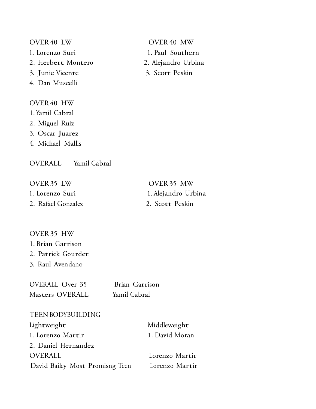OVER 40 LW OVER 40 MW 1. Lorenzo Suri 1. Paul Southern 2. Herbert Montero 2. Alejandro Urbina 3. Junie Vicente 3. Scott Peskin 4. Dan Muscelli OVER 40 HW 1. Yamil Cabral 2. Miguel Ruiz

3. Oscar Juarez

4. Michael Mallis

OVERALL Yamil Cabral

| OVER 35 LW         | OVER 35 MW          |
|--------------------|---------------------|
| 1. Lorenzo Suri    | 1. Alejandro Urbina |
| 2. Rafael Gonzalez | 2. Scott Peskin     |

OVER 35 HW 1. Brian Garrison 2. Patrick Gourdet 3. Raul Avendano

OVERALL Over 35 Brian Garrison Masters OVERALL Yamil Cabral

#### TEENBODYBUILDING

| Lightweight                     | Middleweight   |
|---------------------------------|----------------|
| 1. Lorenzo Martir               | 1. David Moran |
| 2. Daniel Hernandez             |                |
| <b>OVERALL</b>                  | Lorenzo Martir |
| David Bailey Most Promisng Teen | Lorenzo Martir |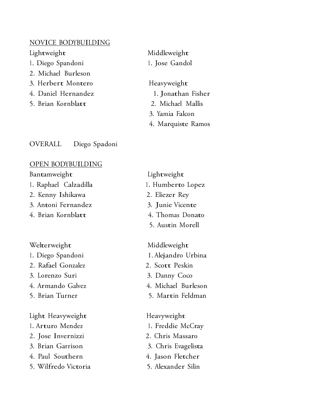#### NOVICE BODYBUILDING

1. Diego Spandoni 1. Jose Gandol

- 2. Michael Burleson
- 3. Herbert Montero Heavyweight
- 4. Daniel Hernandez 1. Jonathan Fisher
- 5. Brian Kornblatt 2. Michael Mallis

OVERALL Diego Spadoni

### OPEN BODYBUILDING

### Bantamweight Lightweight

- 1. Raphael Calzadilla 1. Humberto Lopez
- 2. Kenny Ishikawa 2. Eliezer Rey
- 3. Antoni Fernandez 3. Junie Vicente
- 4. Brian Kornblatt 4. Thomas Donato

## Welterweight Middleweight

- 
- 2. Rafael Gonzalez 2. Scott Peskin
- 3. Lorenzo Suri 3. Danny Coco
- 
- 

### Light Heavyweight Heavyweight

- 
- 2. Jose Invernizzi 2. Chris Massaro
- 
- 4. Paul Southern 4. Jason Fletcher
- 5. Wilfredo Victoria 5. Alexander Silin

Lightweight Middleweight

- 3. Yamia Falcon
- 4. Marquiste Ramos

- 
- 
- 
- 
- 5. Austin Morell

- 1. Diego Spandoni 1. Alejandro Urbina
	-
	-
- 4. Armando Galvez 4. Michael Burleson
- 5. Brian Turner 5. Martin Feldman

- 1. Arturo Mendez 1. Freddie McCray
	-
- 3. Brian Garrison 3. Chris Evagelista
	-
	-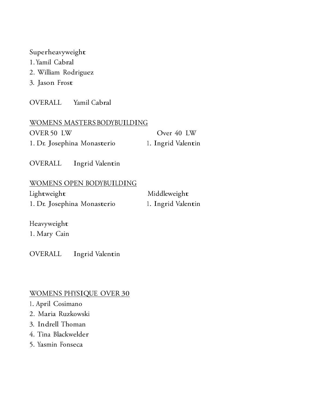### Superheavyweight

- 1. Yamil Cabral
- 2. William Rodriguez
- 3. Jason Frost

OVERALL Yamil Cabral

| WOMENS MASTERS BODYBUILDING |                    |
|-----------------------------|--------------------|
| OVER 50 LW                  | Over 40 LW         |
| 1. Dr. Josephina Monasterio | 1. Ingrid Valentin |

OVERALL Ingrid Valentin

# WOMENS OPEN BODYBUILDING Lightweight Middleweight 1. Dr. Josephina Monasterio 1. Ingrid Valentin

Heavyweight 1. Mary Cain

OVERALL Ingrid Valentin

## WOMENS PHYSIQUE OVER 30

- 1. April Cosimano
- 2. Maria Ruzkowski
- 3. Indrell Thoman
- 4. Tina Blackwelder
- 5. Yasmin Fonseca